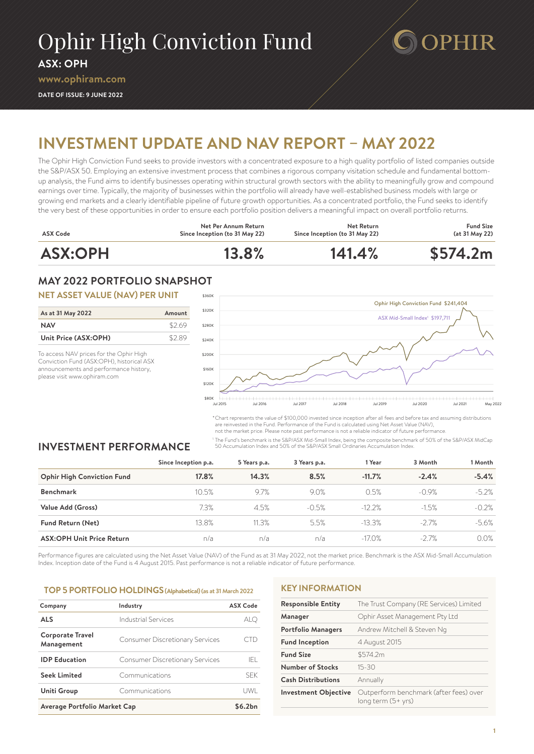# Ophir High Conviction Fund

**ASX: OPH**

**[www.ophiram.com](http://www.ophiram.com)**

**DATE OF ISSUE: 9 JUNE 2022**



# **INVESTMENT UPDATE AND NAV REPORT – MAY 2022**

The Ophir High Conviction Fund seeks to provide investors with a concentrated exposure to a high quality portfolio of listed companies outside the S&P/ASX 50. Employing an extensive investment process that combines a rigorous company visitation schedule and fundamental bottomup analysis, the Fund aims to identify businesses operating within structural growth sectors with the ability to meaningfully grow and compound earnings over time. Typically, the majority of businesses within the portfolio will already have well-established business models with large or growing end markets and a clearly identifiable pipeline of future growth opportunities. As a concentrated portfolio, the Fund seeks to identify the very best of these opportunities in order to ensure each portfolio position delivers a meaningful impact on overall portfolio returns.



# **MAY 2022 PORTFOLIO SNAPSHOT**

## **NET ASSET VALUE (NAV) PER UNIT**

| As at 31 May 2022    | Amount |
|----------------------|--------|
| <b>NAV</b>           | \$2.69 |
| Unit Price (ASX:OPH) | \$2.89 |

To access NAV prices for the Ophir High Conviction Fund (ASX:OPH), historical ASX announcements and performance history, please visit [www.ophiram.com](http://www.ophiram.com)



\*Chart represents the value of \$100,000 invested since inception after all fees and before tax and assuming distributions are reinvested in the Fund. Performance of the Fund is calculated using Net Asset Value (NAV),

not the market price. Please note past performance is not a reliable indicator of future performance.

<sup>1</sup> The Fund's benchmark is the S&P/ASX Mid-Small Index, being the composite benchmark of 50% of the S&P/ASX MidCap 50 Accumulation Index and 50% of the S&P/ASX Small Ordinaries Accumulation Index.

# **INVESTMENT PERFORMANCE**

|                                   | Since Inception p.a. | 5 Years p.a. | 3 Years p.a. | 1 Year    | 3 Month | 1 Month |
|-----------------------------------|----------------------|--------------|--------------|-----------|---------|---------|
| <b>Ophir High Conviction Fund</b> | 17.8%                | 14.3%        | 8.5%         | $-11.7%$  | $-2.4%$ | $-5.4%$ |
| <b>Benchmark</b>                  | 10.5%                | 9.7%         | 9.0%         | 0.5%      | $-0.9%$ | $-5.2%$ |
| Value Add (Gross)                 | 7.3%                 | 4.5%         | $-0.5%$      | $-12.2%$  | $-1.5%$ | $-0.2%$ |
| <b>Fund Return (Net)</b>          | 13.8%                | 11.3%        | 5.5%         | $-13.3\%$ | $-2.7%$ | -5.6%   |
| <b>ASX:OPH Unit Price Return</b>  | n/a                  | n/a          | n/a          | $-17.0\%$ | $-2.7%$ | 0.0%    |

Performance figures are calculated using the Net Asset Value (NAV) of the Fund as at 31 May 2022, not the market price. Benchmark is the ASX Mid-Small Accumulation Index. Inception date of the Fund is 4 August 2015. Past performance is not a reliable indicator of future performance.

#### **TOP 5 PORTFOLIO HOLDINGS (Alphabetical)(as at 31 March <sup>202</sup><sup>2</sup>**

| Company                               | Industry                               | <b>ASX Code</b> |
|---------------------------------------|----------------------------------------|-----------------|
| <b>ALS</b>                            | Industrial Services                    | <b>ALC</b>      |
| <b>Corporate Travel</b><br>Management | <b>Consumer Discretionary Services</b> |                 |
| <b>IDP</b> Education                  | <b>Consumer Discretionary Services</b> | IFL             |
| <b>Seek Limited</b>                   | Communications                         | <b>SFK</b>      |
| Uniti Group                           | Communications                         | UWI             |
| Average Portfolio Market Cap          | \$6.2bn                                |                 |

### **KEY INFORMATION**

| <b>Responsible Entity</b>   | The Trust Company (RE Services) Limited                      |
|-----------------------------|--------------------------------------------------------------|
| Manager                     | Ophir Asset Management Pty Ltd                               |
| <b>Portfolio Managers</b>   | Andrew Mitchell & Steven Ng                                  |
| <b>Fund Inception</b>       | 4 August 2015                                                |
| <b>Fund Size</b>            | \$574.2m                                                     |
| <b>Number of Stocks</b>     | $15 - 30$                                                    |
| <b>Cash Distributions</b>   | Annually                                                     |
| <b>Investment Objective</b> | Outperform benchmark (after fees) over<br>long term (5+ yrs) |
|                             |                                                              |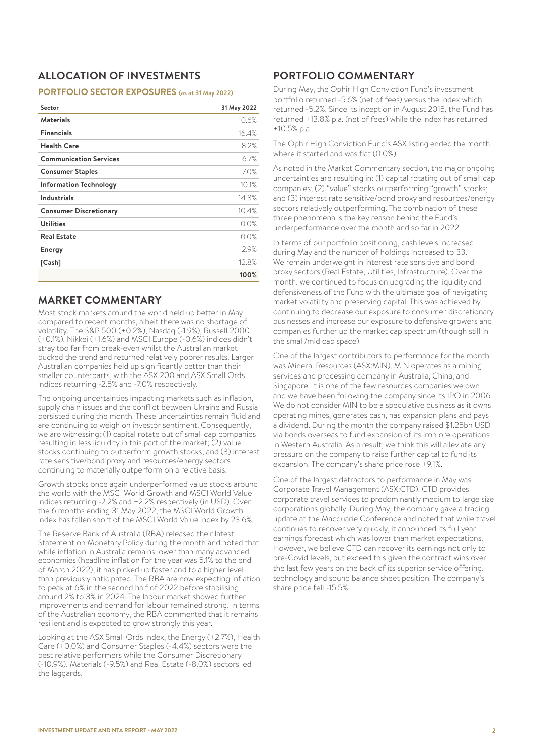# **ALLOCATION OF INVESTMENTS**

#### **PORTFOLIO SECTOR EXPOSURES (as at 31 May 2022)**

| Sector                        | 31 May 2022 |
|-------------------------------|-------------|
| <b>Materials</b>              | 10.6%       |
| <b>Financials</b>             | 16.4%       |
| <b>Health Care</b>            | 8.2%        |
| <b>Communication Services</b> | 6.7%        |
| <b>Consumer Staples</b>       | 7.0%        |
| <b>Information Technology</b> | 10.1%       |
| <b>Industrials</b>            | 14.8%       |
| <b>Consumer Discretionary</b> | 10.4%       |
| <b>Utilities</b>              | 0.0%        |
| <b>Real Estate</b>            | 0.0%        |
| <b>Energy</b>                 | 2.9%        |
| [Cash]                        | 12.8%       |
|                               | 100%        |

# **MARKET COMMENTARY**

Most stock markets around the world held up better in May compared to recent months, albeit there was no shortage of volatility. The S&P 500 (+0.2%), Nasdaq (-1.9%), Russell 2000 (+0.1%), Nikkei (+1.6%) and MSCI Europe (-0.6%) indices didn't stray too far from break-even whilst the Australian market bucked the trend and returned relatively poorer results. Larger Australian companies held up significantly better than their smaller counterparts, with the ASX 200 and ASX Small Ords indices returning -2.5% and -7.0% respectively.

The ongoing uncertainties impacting markets such as inflation, supply chain issues and the conflict between Ukraine and Russia persisted during the month. These uncertainties remain fluid and are continuing to weigh on investor sentiment. Consequently, we are witnessing: (1) capital rotate out of small cap companies resulting in less liquidity in this part of the market; (2) value stocks continuing to outperform growth stocks; and (3) interest rate sensitive/bond proxy and resources/energy sectors continuing to materially outperform on a relative basis.

Growth stocks once again underperformed value stocks around the world with the MSCI World Growth and MSCI World Value indices returning -2.2% and +2.2% respectively (in USD). Over the 6 months ending 31 May 2022, the MSCI World Growth index has fallen short of the MSCI World Value index by 23.6%.

The Reserve Bank of Australia (RBA) released their latest Statement on Monetary Policy during the month and noted that while inflation in Australia remains lower than many advanced economies (headline inflation for the year was 5.1% to the end of March 2022), it has picked up faster and to a higher level than previously anticipated. The RBA are now expecting inflation to peak at 6% in the second half of 2022 before stabilising around 2% to 3% in 2024. The labour market showed further improvements and demand for labour remained strong. In terms of the Australian economy, the RBA commented that it remains resilient and is expected to grow strongly this year.

Looking at the ASX Small Ords Index, the Energy (+2.7%), Health Care (+0.0%) and Consumer Staples (-4.4%) sectors were the best relative performers while the Consumer Discretionary (-10.9%), Materials (-9.5%) and Real Estate (-8.0%) sectors led the laggards.

# **PORTFOLIO COMMENTARY**

During May, the Ophir High Conviction Fund's investment portfolio returned -5.6% (net of fees) versus the index which returned -5.2%. Since its inception in August 2015, the Fund has returned +13.8% p.a. (net of fees) while the index has returned +10.5% p.a.

The Ophir High Conviction Fund's ASX listing ended the month where it started and was flat (0.0%).

As noted in the Market Commentary section, the major ongoing uncertainties are resulting in: (1) capital rotating out of small cap companies; (2) "value" stocks outperforming "growth" stocks; and (3) interest rate sensitive/bond proxy and resources/energy sectors relatively outperforming. The combination of these three phenomena is the key reason behind the Fund's underperformance over the month and so far in 2022.

In terms of our portfolio positioning, cash levels increased during May and the number of holdings increased to 33. We remain underweight in interest rate sensitive and bond proxy sectors (Real Estate, Utilities, Infrastructure). Over the month, we continued to focus on upgrading the liquidity and defensiveness of the Fund with the ultimate goal of navigating market volatility and preserving capital. This was achieved by continuing to decrease our exposure to consumer discretionary businesses and increase our exposure to defensive growers and companies further up the market cap spectrum (though still in the small/mid cap space).

One of the largest contributors to performance for the month was Mineral Resources (ASX:MIN). MIN operates as a mining services and processing company in Australia, China, and Singapore. It is one of the few resources companies we own and we have been following the company since its IPO in 2006. We do not consider MIN to be a speculative business as it owns operating mines, generates cash, has expansion plans and pays a dividend. During the month the company raised \$1.25bn USD via bonds overseas to fund expansion of its iron ore operations in Western Australia. As a result, we think this will alleviate any pressure on the company to raise further capital to fund its expansion. The company's share price rose +9.1%.

One of the largest detractors to performance in May was Corporate Travel Management (ASX:CTD). CTD provides corporate travel services to predominantly medium to large size corporations globally. During May, the company gave a trading update at the Macquarie Conference and noted that while travel continues to recover very quickly, it announced its full year earnings forecast which was lower than market expectations. However, we believe CTD can recover its earnings not only to pre-Covid levels, but exceed this given the contract wins over the last few years on the back of its superior service offering, technology and sound balance sheet position. The company's share price fell -15.5%.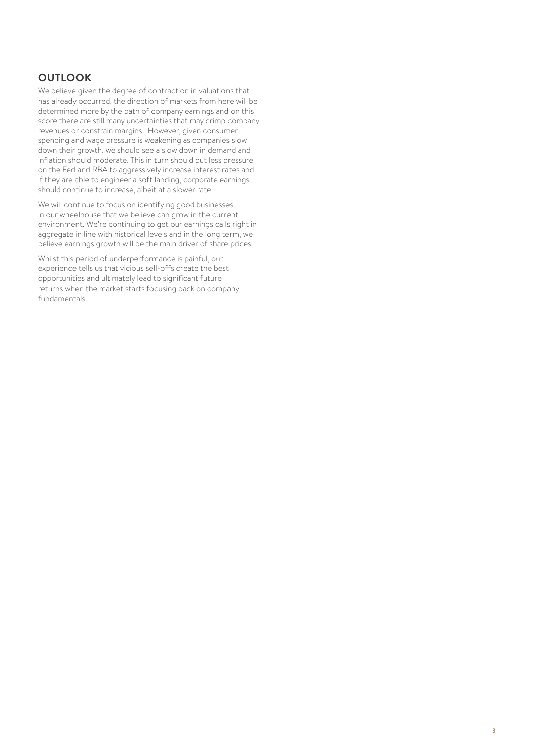# **OUTLOOK**

We believe given the degree of contraction in valuations that has already occurred, the direction of markets from here will be determined more by the path of company earnings and on this score there are still many uncertainties that may crimp company revenues or constrain margins. However, given consumer spending and wage pressure is weakening as companies slow down their growth, we should see a slow down in demand and inflation should moderate. This in turn should put less pressure on the Fed and RBA to aggressively increase interest rates and if they are able to engineer a soft landing, corporate earnings should continue to increase, albeit at a slower rate.

We will continue to focus on identifying good businesses in our wheelhouse that we believe can grow in the current environment. We're continuing to get our earnings calls right in aggregate in line with historical levels and in the long term, we believe earnings growth will be the main driver of share prices.

Whilst this period of underperformance is painful, our experience tells us that vicious sell-offs create the best opportunities and ultimately lead to significant future returns when the market starts focusing back on company fundamentals.